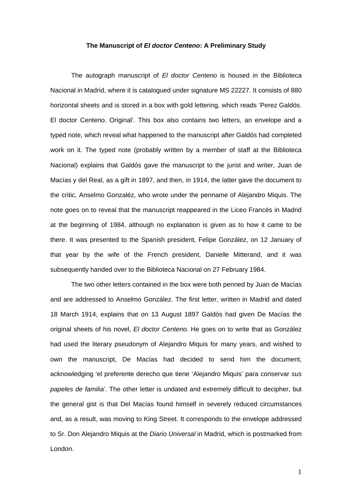## **The Manuscript of** *El doctor Centeno***: A Preliminary Study**

The autograph manuscript of *El doctor Centeno* is housed in the Biblioteca Nacional in Madrid, where it is catalogued under signature MS 22227. It consists of 880 horizontal sheets and is stored in a box with gold lettering, which reads 'Perez Galdós. El doctor Centeno. Original'. This box also contains two letters, an envelope and a typed note, which reveal what happened to the manuscript after Galdós had completed work on it. The typed note (probably written by a member of staff at the Biblioteca Nacional) explains that Galdós gave the manuscript to the jurist and writer, Juan de Macías y del Real, as a gift in 1897, and then, in 1914, the latter gave the document to the critic, Anselmo Gonzaléz, who wrote under the penname of Alejandro Miquis. The note goes on to reveal that the manuscript reappeared in the Liceo Francés in Madrid at the beginning of 1984, although no explanation is given as to how it came to be there. It was presented to the Spanish president, Felipe González, on 12 January of that year by the wife of the French president, Danielle Mitterand, and it was subsequently handed over to the Biblioteca Nacional on 27 February 1984.

The two other letters contained in the box were both penned by Juan de Macías and are addressed to Anselmo González. The first letter, written in Madrid and dated 18 March 1914, explains that on 13 August 1897 Galdós had given De Macías the original sheets of his novel, *El doctor Centeno*. He goes on to write that as González had used the literary pseudonym of Alejandro Miquis for many years, and wished to own the manuscript, De Macías had decided to send him the document, acknowledging 'el preferente derecho que tiene 'Alejandro Miquis' para conservar *sus papeles de familia*'. The other letter is undated and extremely difficult to decipher, but the general gist is that Del Macías found himself in severely reduced circumstances and, as a result, was moving to King Street. It corresponds to the envelope addressed to Sr. Don Alejandro Miquis at the *Diario Universal* in Madrid, which is postmarked from London.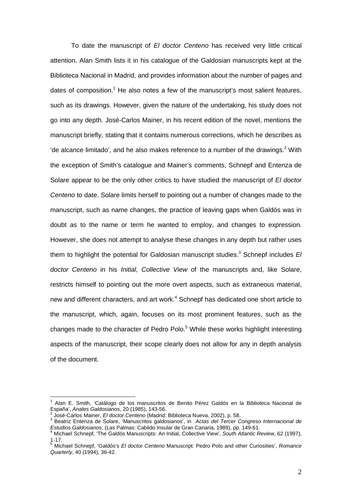To date the manuscript of *El doctor Centeno* has received very little critical attention. Alan Smith lists it in his catalogue of the Galdosian manuscripts kept at the Biblioteca Nacional in Madrid, and provides information about the number of pages and dates of composition.<sup>1</sup> He also notes a few of the manuscript's most salient features, such as its drawings. However, given the nature of the undertaking, his study does not go into any depth. José-Carlos Mainer, in his recent edition of the novel, mentions the manuscript briefly, stating that it contains numerous corrections, which he describes as 'de alcance limitado', and he also makes reference to a number of the drawings. $2$  With the exception of Smith's catalogue and Mainer's comments, Schnepf and Entenza de Solare appear to be the only other critics to have studied the manuscript of *El doctor Centeno* to date. Solare limits herself to pointing out a number of changes made to the manuscript, such as name changes, the practice of leaving gaps when Galdós was in doubt as to the name or term he wanted to employ, and changes to expression. However, she does not attempt to analyse these changes in any depth but rather uses them to highlight the potential for Galdosian manuscript studies.<sup>3</sup> Schnepf includes El *doctor Centeno* in his *Initial, Collective View* of the manuscripts and, like Solare, restricts himself to pointing out the more overt aspects, such as extraneous material, new and different characters, and art work.<sup>4</sup> Schnepf has dedicated one short article to the manuscript, which, again, focuses on its most prominent features, such as the changes made to the character of Pedro Polo.<sup>5</sup> While these works highlight interesting aspects of the manuscript, their scope clearly does not allow for any in depth analysis of the document.

<sup>1</sup> Alan E. Smith, 'Catálogo de los manuscritos de Benito Pérez Galdós en la Biblioteca Nacional de España', *Anales Galdosianos*, 20 (1985), 143-56. <sup>2</sup>

José-Carlos Mainer, *El doctor Centeno* (Madrid: Biblioteca Nueva, 2002), p. 58. <sup>3</sup>

Beatriz Entenza de Solare, 'Manuscritos galdosianos', in *Actas del Tercer Congreso Internacional de Estudios Galdosianos*, (Las Palmas: Cabildo Insular de Gran Canaria, 1989), pp. 149-61. <sup>4</sup>

Michael Schnepf, 'The Galdós Manuscripts: An Initial, Collective View', *South Atlantic Review*, 62 (1997), 1-17.

<sup>5</sup> Michael Schnepf, 'Galdós's *El doctor Centeno* Manuscript: Pedro Polo and other Curiosities', *Romance Quarterly*, 40 (1994), 36-42.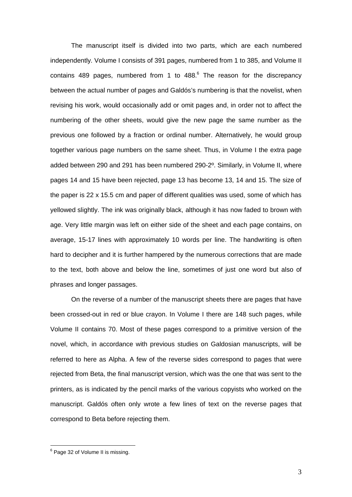The manuscript itself is divided into two parts, which are each numbered independently. Volume I consists of 391 pages, numbered from 1 to 385, and Volume II contains 489 pages, numbered from 1 to  $488.$ <sup>6</sup> The reason for the discrepancy between the actual number of pages and Galdós's numbering is that the novelist, when revising his work, would occasionally add or omit pages and, in order not to affect the numbering of the other sheets, would give the new page the same number as the previous one followed by a fraction or ordinal number. Alternatively, he would group together various page numbers on the same sheet. Thus, in Volume I the extra page added between 290 and 291 has been numbered 290-2º. Similarly, in Volume II, where pages 14 and 15 have been rejected, page 13 has become 13, 14 and 15. The size of the paper is 22 x 15.5 cm and paper of different qualities was used, some of which has yellowed slightly. The ink was originally black, although it has now faded to brown with age. Very little margin was left on either side of the sheet and each page contains, on average, 15-17 lines with approximately 10 words per line. The handwriting is often hard to decipher and it is further hampered by the numerous corrections that are made to the text, both above and below the line, sometimes of just one word but also of phrases and longer passages.

On the reverse of a number of the manuscript sheets there are pages that have been crossed-out in red or blue crayon. In Volume I there are 148 such pages, while Volume II contains 70. Most of these pages correspond to a primitive version of the novel, which, in accordance with previous studies on Galdosian manuscripts, will be referred to here as Alpha. A few of the reverse sides correspond to pages that were rejected from Beta, the final manuscript version, which was the one that was sent to the printers, as is indicated by the pencil marks of the various copyists who worked on the manuscript. Galdós often only wrote a few lines of text on the reverse pages that correspond to Beta before rejecting them.

<sup>&</sup>lt;sup>6</sup> Page 32 of Volume II is missing.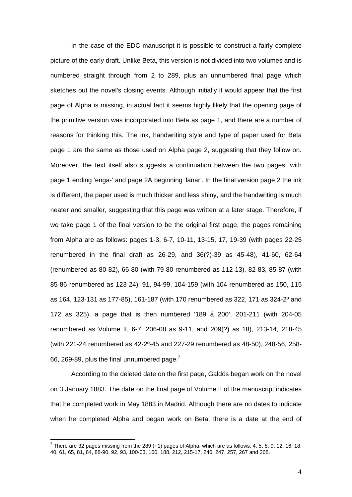In the case of the EDC manuscript it is possible to construct a fairly complete picture of the early draft. Unlike Beta, this version is not divided into two volumes and is numbered straight through from 2 to 289, plus an unnumbered final page which sketches out the novel's closing events. Although initially it would appear that the first page of Alpha is missing, in actual fact it seems highly likely that the opening page of the primitive version was incorporated into Beta as page 1, and there are a number of reasons for thinking this. The ink, handwriting style and type of paper used for Beta page 1 are the same as those used on Alpha page 2, suggesting that they follow on. Moreover, the text itself also suggests a continuation between the two pages, with page 1 ending 'enga-' and page 2A beginning 'lanar'. In the final version page 2 the ink is different, the paper used is much thicker and less shiny, and the handwriting is much neater and smaller, suggesting that this page was written at a later stage. Therefore, if we take page 1 of the final version to be the original first page, the pages remaining from Alpha are as follows: pages 1-3, 6-7, 10-11, 13-15, 17, 19-39 (with pages 22-25 renumbered in the final draft as 26-29, and 36(?)-39 as 45-48), 41-60, 62-64 (renumbered as 80-82), 66-80 (with 79-80 renumbered as 112-13), 82-83, 85-87 (with 85-86 renumbered as 123-24), 91, 94-99, 104-159 (with 104 renumbered as 150, 115 as 164, 123-131 as 177-85), 161-187 (with 170 renumbered as 322, 171 as 324-2º and 172 as 325), a page that is then numbered '189 á 200', 201-211 (with 204-05 renumbered as Volume II, 6-7, 206-08 as 9-11, and 209(?) as 18), 213-14, 218-45 (with 221-24 renumbered as 42-2º-45 and 227-29 renumbered as 48-50), 248-56, 258- 66, 269-89, plus the final unnumbered page. $<sup>7</sup>$ </sup>

According to the deleted date on the first page, Galdós began work on the novel on 3 January 1883. The date on the final page of Volume II of the manuscript indicates that he completed work in May 1883 in Madrid. Although there are no dates to indicate when he completed Alpha and began work on Beta, there is a date at the end of

<u>.</u>

 $^7$  There are 32 pages missing from the 289 (+1) pages of Alpha, which are as follows: 4, 5, 8, 9, 12, 16, 18, 40, 61, 65, 81, 84, 88-90, 92, 93, 100-03, 160, 188, 212, 215-17, 246, 247, 257, 267 and 268.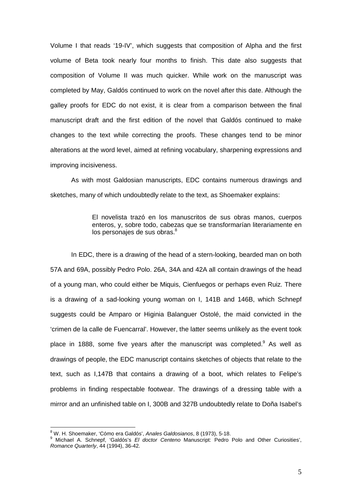Volume I that reads '19-IV', which suggests that composition of Alpha and the first volume of Beta took nearly four months to finish. This date also suggests that composition of Volume II was much quicker. While work on the manuscript was completed by May, Galdós continued to work on the novel after this date. Although the galley proofs for EDC do not exist, it is clear from a comparison between the final manuscript draft and the first edition of the novel that Galdós continued to make changes to the text while correcting the proofs. These changes tend to be minor alterations at the word level, aimed at refining vocabulary, sharpening expressions and improving incisiveness.

As with most Galdosian manuscripts, EDC contains numerous drawings and sketches, many of which undoubtedly relate to the text, as Shoemaker explains:

> El novelista trazó en los manuscritos de sus obras manos, cuerpos enteros, y, sobre todo, cabezas que se transformarían literariamente en los personajes de sus obras.<sup>8</sup>

In EDC, there is a drawing of the head of a stern-looking, bearded man on both 57A and 69A, possibly Pedro Polo. 26A, 34A and 42A all contain drawings of the head of a young man, who could either be Miquis, Cienfuegos or perhaps even Ruiz. There is a drawing of a sad-looking young woman on I, 141B and 146B, which Schnepf suggests could be Amparo or Higinia Balanguer Ostolé, the maid convicted in the 'crimen de la calle de Fuencarral'. However, the latter seems unlikely as the event took place in 1888, some five years after the manuscript was completed.<sup>9</sup> As well as drawings of people, the EDC manuscript contains sketches of objects that relate to the text, such as I,147B that contains a drawing of a boot, which relates to Felipe's problems in finding respectable footwear. The drawings of a dressing table with a mirror and an unfinished table on I, 300B and 327B undoubtedly relate to Doña Isabel's

<sup>&</sup>lt;sup>8</sup> W. H. Shoemaker, 'Cómo era Galdós', *Anales Galdosianos*, 8 (1973), 5-18.<br><sup>9</sup> Michael A., Sebnest, 'Caldós'e, El destar, Cantana Manuesipti, Badra.

Michael A. Schnepf, 'Galdós's *El doctor Centeno* Manuscript: Pedro Polo and Other Curiosities', *Romance Quarterly*, 44 (1994), 36-42.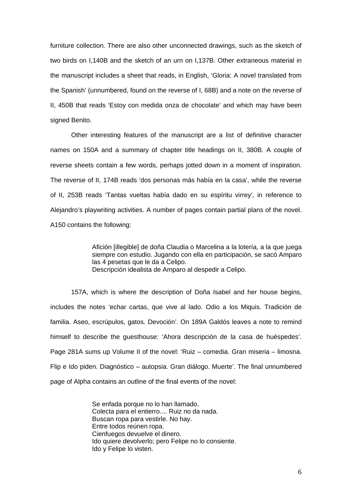furniture collection. There are also other unconnected drawings, such as the sketch of two birds on I,140B and the sketch of an urn on I,137B. Other extraneous material in the manuscript includes a sheet that reads, in English, 'Gloria: A novel translated from the Spanish' (unnumbered, found on the reverse of I, 68B) and a note on the reverse of II, 450B that reads 'Estoy con medida onza de chocolate' and which may have been signed Benito.

Other interesting features of the manuscript are a list of definitive character names on 150A and a summary of chapter title headings on II, 380B. A couple of reverse sheets contain a few words, perhaps jotted down in a moment of inspiration. The reverse of II, 174B reads 'dos personas más había en la casa', while the reverse of II, 253B reads 'Tantas vueltas había dado en su espíritu virrey', in reference to Alejandro's playwriting activities. A number of pages contain partial plans of the novel. A150 contains the following:

> Afición [illegible] de doña Claudia o Marcelina a la lotería, a la que juega siempre con estudio. Jugando con ella en participación, se sacó Amparo las 4 pesetas que le da a Celipo. Descripción idealista de Amparo al despedir a Celipo.

157A, which is where the description of Doña Isabel and her house begins, includes the notes 'echar cartas, que vive al lado. Odio a los Miquis. Tradición de familia. Aseo, escrúpulos, gatos. Devoción'. On 189A Galdós leaves a note to remind himself to describe the guesthouse: 'Ahora descripción de la casa de huéspedes'. Page 281A sums up Volume II of the novel: 'Ruiz – comedia. Gran miseria – limosna. Flip e Ido piden. Diagnóstico – autopsia. Gran diálogo. Muerte'. The final unnumbered page of Alpha contains an outline of the final events of the novel:

> Se enfada porque no lo han llamado. Colecta para el entierro.... Ruiz no da nada. Buscan ropa para vestirle. No hay. Entre todos reúnen ropa. Cienfuegos devuelve el dinero. Ido quiere devolverlo; pero Felipe no lo consiente. Ido y Felipe lo visten.